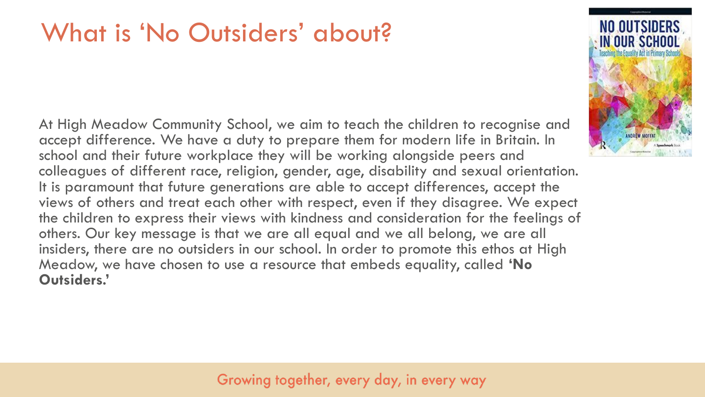## What is 'No Outsiders' about?

At High Meadow Community School, we aim to teach the children to recognise and accept difference. We have a duty to prepare them for modern life in Britain. In school and their future workplace they will be working alongside peers and colleagues of different race, religion, gender, age, disability and sexual orientation. It is paramount that future generations are able to accept differences, accept the views of others and treat each other with respect, even if they disagree. We expect the children to express their views with kindness and consideration for the feelings of others. Our key message is that we are all equal and we all belong, we are all insiders, there are no outsiders in our school. In order to promote this ethos at High Meadow, we have chosen to use a resource that embeds equality, called **'No Outsiders.'** 

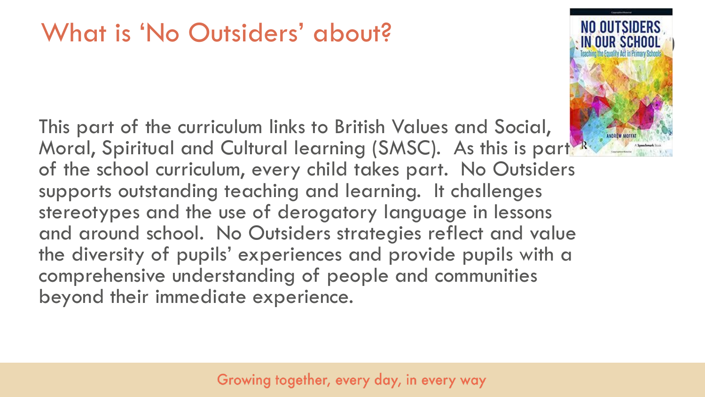## What is 'No Outsiders' about?

This part of the curriculum links to British Values and Social, Moral, Spiritual and Cultural learning (SMSC). As this is part of the school curriculum, every child takes part. No Outsiders supports outstanding teaching and learning. It challenges stereotypes and the use of derogatory language in lessons and around school. No Outsiders strategies reflect and value the diversity of pupils' experiences and provide pupils with a comprehensive understanding of people and communities beyond their immediate experience.

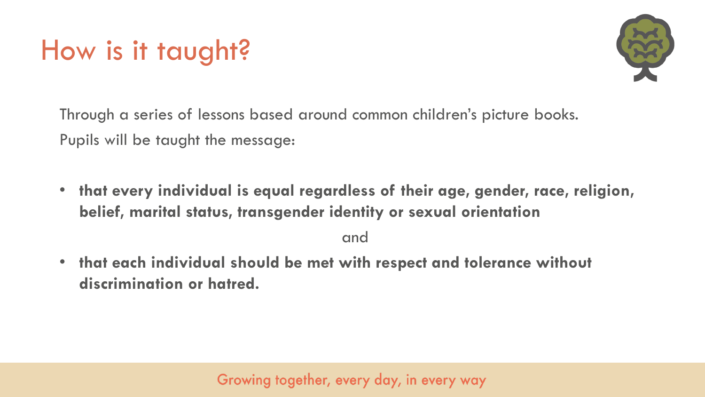# How is it taught?



Through a series of lessons based around common children's picture books. Pupils will be taught the message:

• **that every individual is equal regardless of their age, gender, race, religion, belief, marital status, transgender identity or sexual orientation** 

and

• **that each individual should be met with respect and tolerance without discrimination or hatred.**